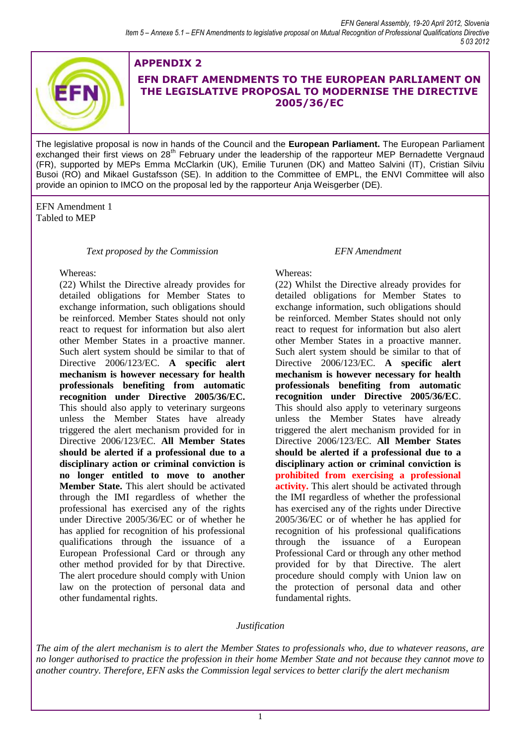

# **APPENDIX 2 EFN DRAFT AMENDMENTS TO THE EUROPEAN PARLIAMENT ON THE LEGISLATIVE PROPOSAL TO MODERNISE THE DIRECTIVE 2005/36/EC**

The legislative proposal is now in hands of the Council and the **European Parliament.** The European Parliament exchanged their first views on 28<sup>th</sup> February under the leadership of the rapporteur MEP Bernadette Vergnaud (FR), supported by MEPs Emma McClarkin (UK), Emilie Turunen (DK) and Matteo Salvini (IT), Cristian Silviu Busoi (RO) and Mikael Gustafsson (SE). In addition to the Committee of EMPL, the ENVI Committee will also provide an opinion to IMCO on the proposal led by the rapporteur Anja Weisgerber (DE).

EFN Amendment 1 Tabled to MEP

## *Text proposed by the Commission EFN Amendment*

### Whereas:

(22) Whilst the Directive already provides for detailed obligations for Member States to exchange information, such obligations should be reinforced. Member States should not only react to request for information but also alert other Member States in a proactive manner. Such alert system should be similar to that of Directive 2006/123/EC. **A specific alert mechanism is however necessary for health professionals benefiting from automatic recognition under Directive 2005/36/EC.** This should also apply to veterinary surgeons unless the Member States have already triggered the alert mechanism provided for in Directive 2006/123/EC. **All Member States should be alerted if a professional due to a disciplinary action or criminal conviction is no longer entitled to move to another Member State.** This alert should be activated through the IMI regardless of whether the professional has exercised any of the rights under Directive 2005/36/EC or of whether he has applied for recognition of his professional qualifications through the issuance of a European Professional Card or through any other method provided for by that Directive. The alert procedure should comply with Union law on the protection of personal data and other fundamental rights.

## Whereas:

(22) Whilst the Directive already provides for detailed obligations for Member States to exchange information, such obligations should be reinforced. Member States should not only react to request for information but also alert other Member States in a proactive manner. Such alert system should be similar to that of Directive 2006/123/EC. **A specific alert mechanism is however necessary for health professionals benefiting from automatic recognition under Directive 2005/36/EC**. This should also apply to veterinary surgeons unless the Member States have already triggered the alert mechanism provided for in Directive 2006/123/EC. **All Member States should be alerted if a professional due to a disciplinary action or criminal conviction is prohibited from exercising a professional activity.** This alert should be activated through the IMI regardless of whether the professional has exercised any of the rights under Directive 2005/36/EC or of whether he has applied for recognition of his professional qualifications through the issuance of a European Professional Card or through any other method provided for by that Directive. The alert procedure should comply with Union law on the protection of personal data and other fundamental rights.

## *Justification*

*The aim of the alert mechanism is to alert the Member States to professionals who, due to whatever reasons, are no longer authorised to practice the profession in their home Member State and not because they cannot move to another country. Therefore, EFN asks the Commission legal services to better clarify the alert mechanism*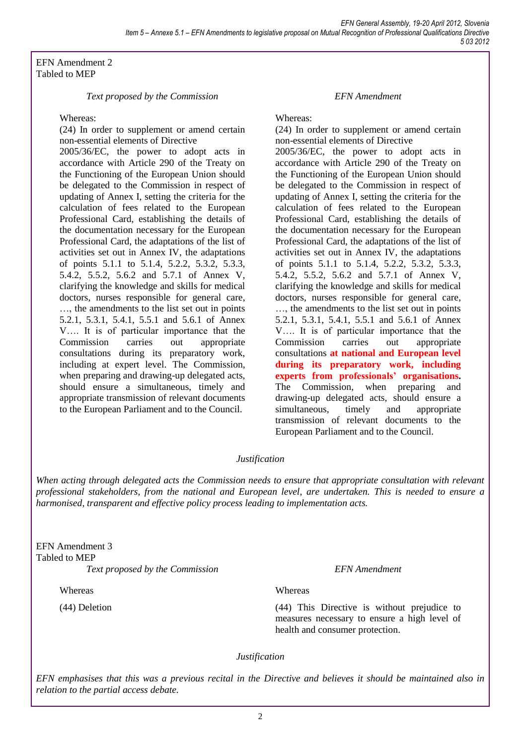EFN Amendment 2 Tabled to MEP

### *Text proposed by the Commission EFN Amendment*

### Whereas:

(24) In order to supplement or amend certain non-essential elements of Directive

2005/36/EC, the power to adopt acts in accordance with Article 290 of the Treaty on the Functioning of the European Union should be delegated to the Commission in respect of updating of Annex I, setting the criteria for the calculation of fees related to the European Professional Card, establishing the details of the documentation necessary for the European Professional Card, the adaptations of the list of activities set out in Annex IV, the adaptations of points 5.1.1 to 5.1.4, 5.2.2, 5.3.2, 5.3.3, 5.4.2, 5.5.2, 5.6.2 and 5.7.1 of Annex V, clarifying the knowledge and skills for medical doctors, nurses responsible for general care, …, the amendments to the list set out in points 5.2.1, 5.3.1, 5.4.1, 5.5.1 and 5.6.1 of Annex V…. It is of particular importance that the Commission carries out appropriate consultations during its preparatory work, including at expert level. The Commission, when preparing and drawing-up delegated acts, should ensure a simultaneous, timely and appropriate transmission of relevant documents to the European Parliament and to the Council.

Whereas:

(24) In order to supplement or amend certain non-essential elements of Directive 2005/36/EC, the power to adopt acts in accordance with Article 290 of the Treaty on the Functioning of the European Union should be delegated to the Commission in respect of updating of Annex I, setting the criteria for the calculation of fees related to the European Professional Card, establishing the details of the documentation necessary for the European Professional Card, the adaptations of the list of activities set out in Annex IV, the adaptations of points 5.1.1 to 5.1.4, 5.2.2, 5.3.2, 5.3.3, 5.4.2, 5.5.2, 5.6.2 and 5.7.1 of Annex V, clarifying the knowledge and skills for medical doctors, nurses responsible for general care, …, the amendments to the list set out in points 5.2.1, 5.3.1, 5.4.1, 5.5.1 and 5.6.1 of Annex V…. It is of particular importance that the Commission carries out appropriate consultations **at national and European level during its preparatory work, including experts from professionals' organisations.** The Commission, when preparing and drawing-up delegated acts, should ensure a simultaneous, timely and appropriate transmission of relevant documents to the European Parliament and to the Council.

## *Justification*

*When acting through delegated acts the Commission needs to ensure that appropriate consultation with relevant professional stakeholders, from the national and European level, are undertaken. This is needed to ensure a harmonised, transparent and effective policy process leading to implementation acts.*

EFN Amendment 3 Tabled to MEP *Text proposed by the Commission EFN Amendment*

Whereas

(44) Deletion

### **Whereas**

(44) This Directive is without prejudice to measures necessary to ensure a high level of health and consumer protection.

## *Justification*

*EFN emphasises that this was a previous recital in the Directive and believes it should be maintained also in relation to the partial access debate.*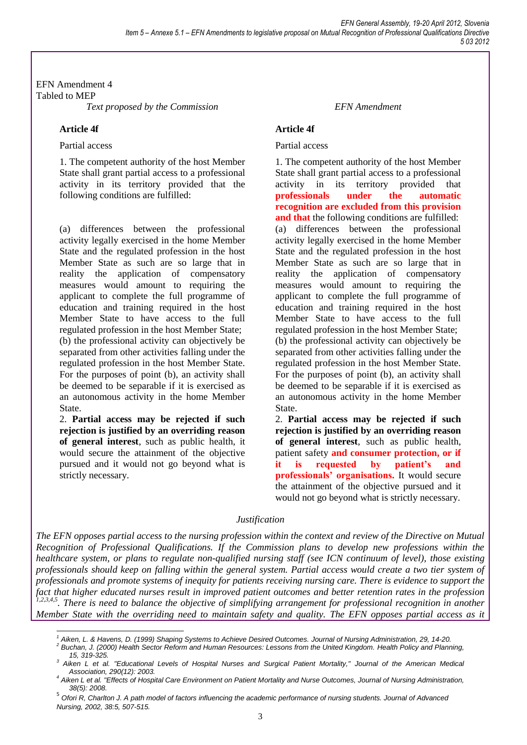EFN Amendment 4 Tabled to MEP *Text proposed by the Commission EFN Amendment*

## **Article 4f**

### Partial access

1. The competent authority of the host Member State shall grant partial access to a professional activity in its territory provided that the following conditions are fulfilled:

(a) differences between the professional activity legally exercised in the home Member State and the regulated profession in the host Member State as such are so large that in reality the application of compensatory measures would amount to requiring the applicant to complete the full programme of education and training required in the host Member State to have access to the full regulated profession in the host Member State; (b) the professional activity can objectively be separated from other activities falling under the regulated profession in the host Member State. For the purposes of point (b), an activity shall be deemed to be separable if it is exercised as an autonomous activity in the home Member State.

2. **Partial access may be rejected if such rejection is justified by an overriding reason of general interest**, such as public health, it would secure the attainment of the objective pursued and it would not go beyond what is strictly necessary.

## **Article 4f**

## Partial access

1. The competent authority of the host Member State shall grant partial access to a professional activity in its territory provided that **professionals under the automatic recognition are excluded from this provision and that** the following conditions are fulfilled: (a) differences between the professional activity legally exercised in the home Member State and the regulated profession in the host Member State as such are so large that in reality the application of compensatory measures would amount to requiring the applicant to complete the full programme of education and training required in the host Member State to have access to the full regulated profession in the host Member State; (b) the professional activity can objectively be separated from other activities falling under the regulated profession in the host Member State. For the purposes of point (b), an activity shall be deemed to be separable if it is exercised as an autonomous activity in the home Member State.

2. **Partial access may be rejected if such rejection is justified by an overriding reason of general interest**, such as public health, patient safety **and consumer protection, or if it is requested by patient's and professionals' organisations.** It would secure the attainment of the objective pursued and it would not go beyond what is strictly necessary.

## *Justification*

*The EFN opposes partial access to the nursing profession within the context and review of the Directive on Mutual Recognition of Professional Qualifications. If the Commission plans to develop new professions within the healthcare system, or plans to regulate non-qualified nursing staff (see ICN continuum of level), those existing professionals should keep on falling within the general system. Partial access would create a two tier system of professionals and promote systems of inequity for patients receiving nursing care. There is evidence to support the fact that higher educated nurses result in improved patient outcomes and better retention rates in the profession*  <sup>1,2,3,4,5</sup>. There is need to balance the objective of simplifying arrangement for professional recognition in another *Member State with the overriding need to maintain safety and quality. The EFN opposes partial access as it* 

 $\overline{a}$ *<sup>1</sup> Aiken, L. & Havens, D. (1999) Shaping Systems to Achieve Desired Outcomes. Journal of Nursing Administration, 29, 14-20.*

*<sup>2</sup> Buchan, J. (2000) Health Sector Reform and Human Resources: Lessons from the United Kingdom. Health Policy and Planning, 15, 319-325.*

*<sup>3</sup> Aiken L et al. "Educational Levels of Hospital Nurses and Surgical Patient Mortality," Journal of the American Medical Association, 290(12): 2003.*

*<sup>4</sup> Aiken L et al. "Effects of Hospital Care Environment on Patient Mortality and Nurse Outcomes, Journal of Nursing Administration, 38(5): 2008.*

<sup>5</sup> *Ofori R, Charlton J. A path model of factors influencing the academic performance of nursing students. Journal of Advanced Nursing, 2002, 38:5, 507-515.*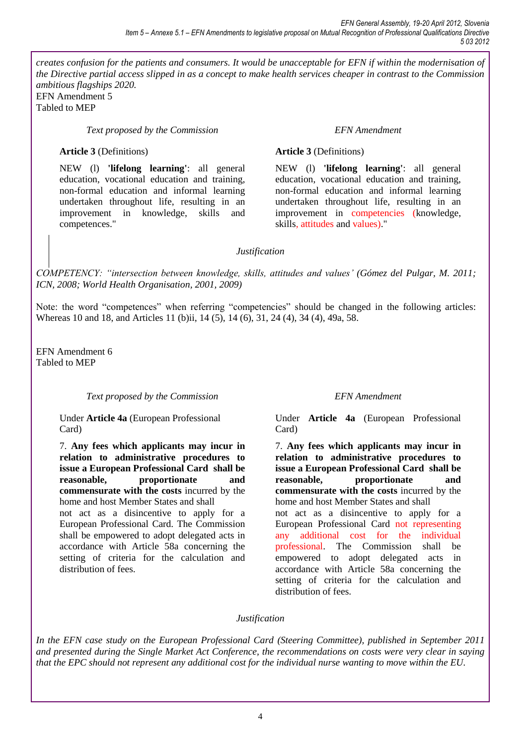*creates confusion for the patients and consumers. It would be unacceptable for EFN if within the modernisation of the Directive partial access slipped in as a concept to make health services cheaper in contrast to the Commission ambitious flagships 2020.*  EFN Amendment 5

Tabled to MEP

*Text proposed by the Commission EFN Amendment*

## **Article 3** (Definitions)

NEW (l) **'lifelong learning'**: all general education, vocational education and training, non-formal education and informal learning undertaken throughout life, resulting in an improvement in knowledge, skills and competences."

## **Article 3** (Definitions)

NEW (l) **'lifelong learning'**: all general education, vocational education and training, non-formal education and informal learning undertaken throughout life, resulting in an improvement in competencies (knowledge, skills, attitudes and values)."

## *Justification*

*COMPETENCY: "intersection between knowledge, skills, attitudes and values' (Gómez del Pulgar, M. 2011; ICN, 2008; World Health Organisation, 2001, 2009)*

Note: the word "competences" when referring "competencies" should be changed in the following articles: Whereas 10 and 18, and Articles 11 (b)ii, 14 (5), 14 (6), 31, 24 (4), 34 (4), 49a, 58.

EFN Amendment 6 Tabled to MEP

## *Text proposed by the Commission EFN Amendment*

Under **Article 4a** (European Professional Card)

7. **Any fees which applicants may incur in relation to administrative procedures to issue a European Professional Card shall be reasonable, proportionate and commensurate with the costs** incurred by the home and host Member States and shall not act as a disincentive to apply for a

European Professional Card. The Commission shall be empowered to adopt delegated acts in accordance with Article 58a concerning the setting of criteria for the calculation and distribution of fees.

Under **Article 4a** (European Professional Card)

7. **Any fees which applicants may incur in relation to administrative procedures to issue a European Professional Card shall be reasonable, proportionate and commensurate with the costs** incurred by the home and host Member States and shall not act as a disincentive to apply for a European Professional Card not representing any additional cost for the individual professional. The Commission shall be empowered to adopt delegated acts in accordance with Article 58a concerning the setting of criteria for the calculation and distribution of fees.

## *Justification*

*In the EFN case study on the European Professional Card (Steering Committee), published in September 2011 and presented during the Single Market Act Conference, the recommendations on costs were very clear in saying that the EPC should not represent any additional cost for the individual nurse wanting to move within the EU.*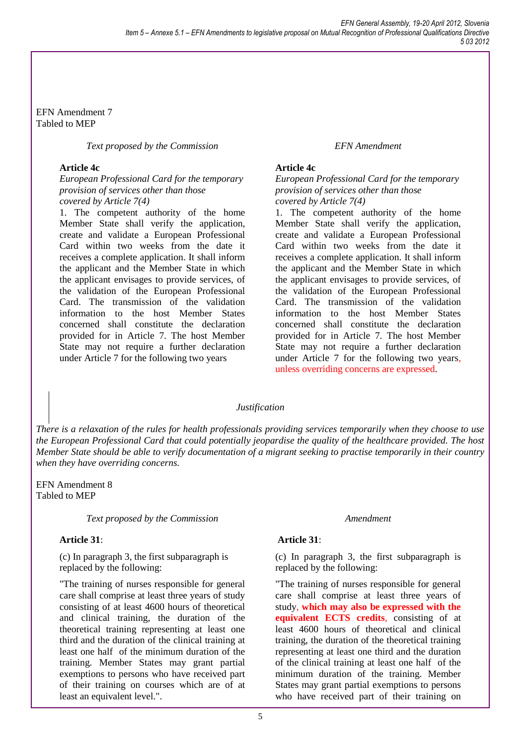EFN Amendment 7 Tabled to MEP

*Text proposed by the Commission*

## **Article 4c**

*European Professional Card for the temporary provision of services other than those covered by Article 7(4)*

1. The competent authority of the home Member State shall verify the application, create and validate a European Professional Card within two weeks from the date it receives a complete application. It shall inform the applicant and the Member State in which the applicant envisages to provide services, of the validation of the European Professional Card. The transmission of the validation information to the host Member States concerned shall constitute the declaration provided for in Article 7. The host Member State may not require a further declaration under Article 7 for the following two years

### *EFN Amendment*

### **Article 4c**

### *European Professional Card for the temporary provision of services other than those covered by Article 7(4)*

1. The competent authority of the home Member State shall verify the application, create and validate a European Professional Card within two weeks from the date it receives a complete application. It shall inform the applicant and the Member State in which the applicant envisages to provide services, of the validation of the European Professional Card. The transmission of the validation information to the host Member States concerned shall constitute the declaration provided for in Article 7. The host Member State may not require a further declaration under Article 7 for the following two years, unless overriding concerns are expressed.

### *Justification*

*There is a relaxation of the rules for health professionals providing services temporarily when they choose to use the European Professional Card that could potentially jeopardise the quality of the healthcare provided. The host Member State should be able to verify documentation of a migrant seeking to practise temporarily in their country when they have overriding concerns.* 

EFN Amendment 8 Tabled to MEP

### *Text proposed by the Commission Amendment*

### **Article 31**:

(c) In paragraph 3, the first subparagraph is replaced by the following:

"The training of nurses responsible for general care shall comprise at least three years of study consisting of at least 4600 hours of theoretical and clinical training, the duration of the theoretical training representing at least one third and the duration of the clinical training at least one half of the minimum duration of the training. Member States may grant partial exemptions to persons who have received part of their training on courses which are of at least an equivalent level.".

## **Article 31**:

(c) In paragraph 3, the first subparagraph is replaced by the following:

"The training of nurses responsible for general care shall comprise at least three years of study, **which may also be expressed with the equivalent ECTS credits**, consisting of at least 4600 hours of theoretical and clinical training, the duration of the theoretical training representing at least one third and the duration of the clinical training at least one half of the minimum duration of the training. Member States may grant partial exemptions to persons who have received part of their training on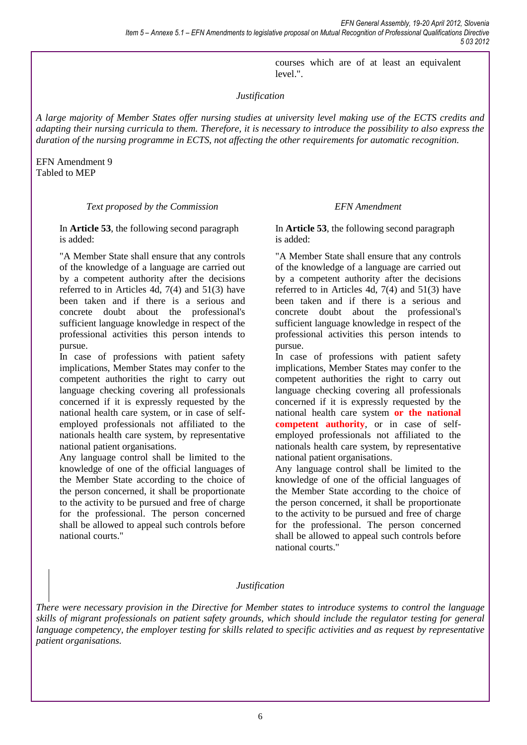courses which are of at least an equivalent level.".

## *Justification*

*A large majority of Member States offer nursing studies at university level making use of the ECTS credits and adapting their nursing curricula to them. Therefore, it is necessary to introduce the possibility to also express the duration of the nursing programme in ECTS, not affecting the other requirements for automatic recognition.* 

EFN Amendment 9 Tabled to MEP

### *Text proposed by the Commission EFN Amendment*

In **Article 53**, the following second paragraph is added:

"A Member State shall ensure that any controls of the knowledge of a language are carried out by a competent authority after the decisions referred to in Articles 4d, 7(4) and 51(3) have been taken and if there is a serious and concrete doubt about the professional's sufficient language knowledge in respect of the professional activities this person intends to pursue.

In case of professions with patient safety implications, Member States may confer to the competent authorities the right to carry out language checking covering all professionals concerned if it is expressly requested by the national health care system, or in case of selfemployed professionals not affiliated to the nationals health care system, by representative national patient organisations.

Any language control shall be limited to the knowledge of one of the official languages of the Member State according to the choice of the person concerned, it shall be proportionate to the activity to be pursued and free of charge for the professional. The person concerned shall be allowed to appeal such controls before national courts."

In **Article 53**, the following second paragraph is added:

"A Member State shall ensure that any controls of the knowledge of a language are carried out by a competent authority after the decisions referred to in Articles 4d, 7(4) and 51(3) have been taken and if there is a serious and concrete doubt about the professional's sufficient language knowledge in respect of the professional activities this person intends to pursue.

In case of professions with patient safety implications, Member States may confer to the competent authorities the right to carry out language checking covering all professionals concerned if it is expressly requested by the national health care system **or the national competent authority**, or in case of selfemployed professionals not affiliated to the nationals health care system, by representative national patient organisations.

Any language control shall be limited to the knowledge of one of the official languages of the Member State according to the choice of the person concerned, it shall be proportionate to the activity to be pursued and free of charge for the professional. The person concerned shall be allowed to appeal such controls before national courts."

### *Justification*

*There were necessary provision in the Directive for Member states to introduce systems to control the language skills of migrant professionals on patient safety grounds, which should include the regulator testing for general language competency, the employer testing for skills related to specific activities and as request by representative patient organisations.*